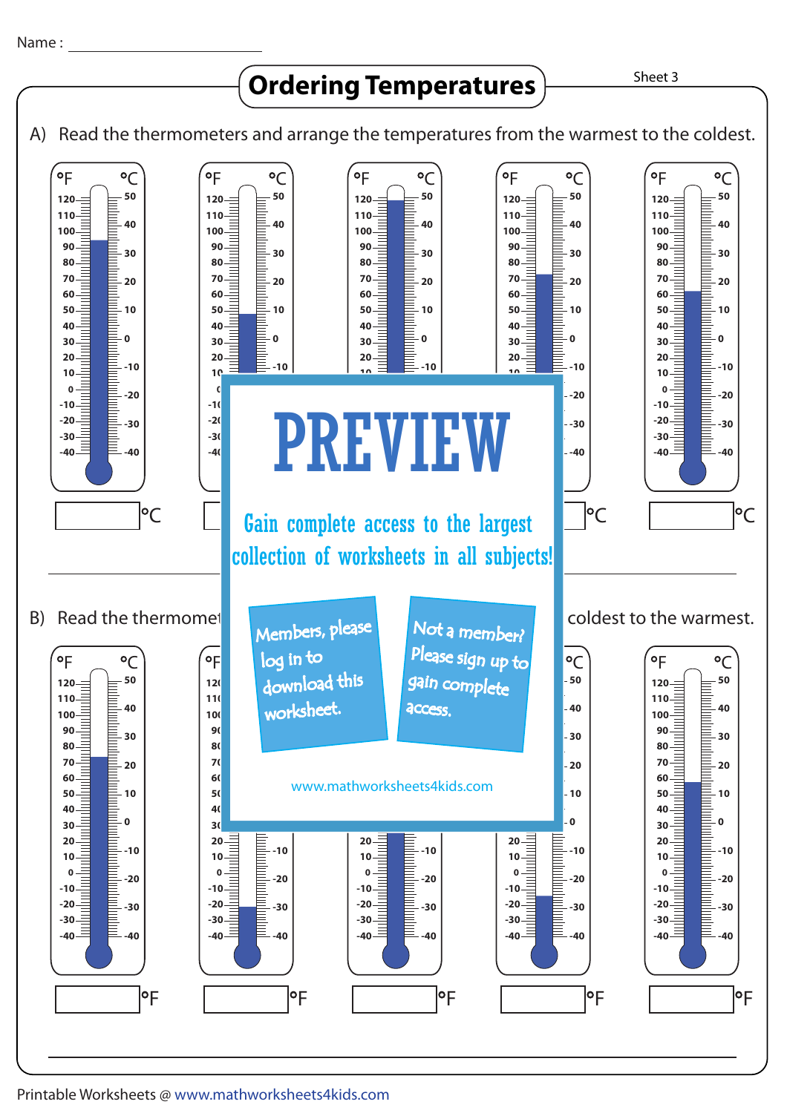